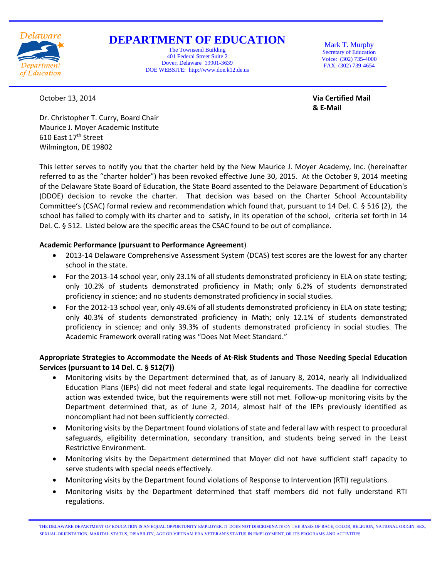

# **DEPARTMENT OF EDUCATION**

The Townsend Building 401 Federal Street Suite 2 Dover, Delaware 19901-3639 DOE WEBSITE: http://www.doe.k12.de.us

Mark T. Murphy Secretary of Education Voice: (302) 735-4000 FAX: (302) 739-4654

October 13, 2014 **Via Certified Mail**

**& E-Mail**

Dr. Christopher T. Curry, Board Chair Maurice J. Moyer Academic Institute 610 East 17th Street Wilmington, DE 19802

This letter serves to notify you that the charter held by the New Maurice J. Moyer Academy, Inc. (hereinafter referred to as the "charter holder") has been revoked effective June 30, 2015. At the October 9, 2014 meeting of the Delaware State Board of Education, the State Board assented to the Delaware Department of Education's (DDOE) decision to revoke the charter. That decision was based on the Charter School Accountability Committee's (CSAC) formal review and recommendation which found that, pursuant to 14 Del. C. § 516 (2), the school has failed to comply with its charter and to satisfy, in its operation of the school, criteria set forth in 14 Del. C. § 512. Listed below are the specific areas the CSAC found to be out of compliance.

### **Academic Performance (pursuant to Performance Agreement**)

- 2013-14 Delaware Comprehensive Assessment System (DCAS) test scores are the lowest for any charter school in the state.
- For the 2013-14 school year, only 23.1% of all students demonstrated proficiency in ELA on state testing; only 10.2% of students demonstrated proficiency in Math; only 6.2% of students demonstrated proficiency in science; and no students demonstrated proficiency in social studies.
- For the 2012-13 school year, only 49.6% of all students demonstrated proficiency in ELA on state testing; only 40.3% of students demonstrated proficiency in Math; only 12.1% of students demonstrated proficiency in science; and only 39.3% of students demonstrated proficiency in social studies. The Academic Framework overall rating was "Does Not Meet Standard."

## **Appropriate Strategies to Accommodate the Needs of At-Risk Students and Those Needing Special Education Services (pursuant to 14 Del. C. § 512(7))**

- Monitoring visits by the Department determined that, as of January 8, 2014, nearly all Individualized Education Plans (IEPs) did not meet federal and state legal requirements. The deadline for corrective action was extended twice, but the requirements were still not met. Follow-up monitoring visits by the Department determined that, as of June 2, 2014, almost half of the IEPs previously identified as noncompliant had not been sufficiently corrected.
- Monitoring visits by the Department found violations of state and federal law with respect to procedural safeguards, eligibility determination, secondary transition, and students being served in the Least Restrictive Environment.
- Monitoring visits by the Department determined that Moyer did not have sufficient staff capacity to serve students with special needs effectively.
- Monitoring visits by the Department found violations of Response to Intervention (RTI) regulations.
- Monitoring visits by the Department determined that staff members did not fully understand RTI regulations.

THE DELAWARE DEPARTMENT OF EDUCATION IS AN EQUAL OPPORTUNITY EMPLOYER. IT DOES NOT DISCRIMINATE ON THE BASIS OF RACE, COLOR, RELIGION, NATIONAL ORIGIN, SEX, SEXUAL ORIENTATION, MARITAL STATUS, DISABILITY, AGE OR VIETNAM ERA VETERAN'S STATUS IN EMPLOYMENT, OR ITS PROGRAMS AND ACTIVITIES.